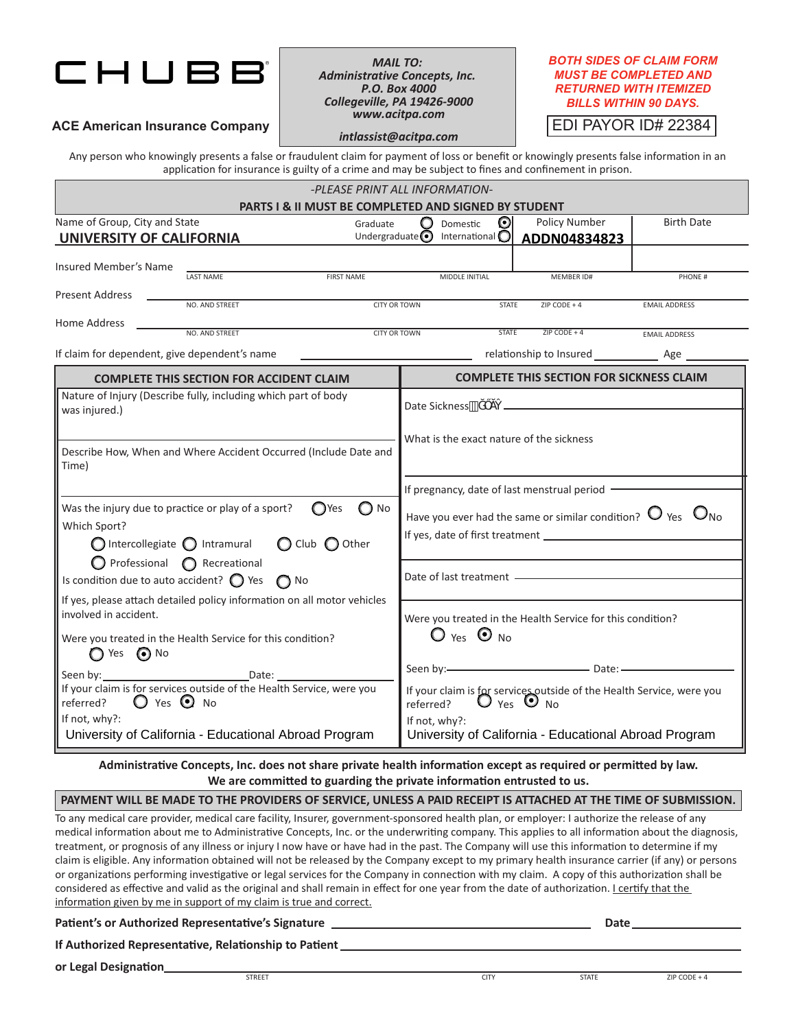## CHUBE

*MAIL TO: Administrative Concepts, Inc. P.O. Box 4000 Collegeville, PA 19426-9000 www.acitpa.com*

## *BOTH SIDES OF CLAIM FORM MUST BE COMPLETED AND RETURNED WITH ITEMIZED BILLS WITHIN 90 DAYS.*

EDI PAYOR ID# 22384

**ACE American Insurance Company**

*intlassist@acitpa.com*

Any person who knowingly presents a false or fraudulent claim for payment of loss or benefit or knowingly presents false information in an application for insurance is guilty of a crime and may be subject to fines and confinement in prison.

| -PLEASE PRINT ALL INFORMATION-                                                                                                                                                                                                                                                                                                                                                                    |                   |                                                                                            |              |                                                                                             |                      |
|---------------------------------------------------------------------------------------------------------------------------------------------------------------------------------------------------------------------------------------------------------------------------------------------------------------------------------------------------------------------------------------------------|-------------------|--------------------------------------------------------------------------------------------|--------------|---------------------------------------------------------------------------------------------|----------------------|
| <b>PARTS I &amp; II MUST BE COMPLETED AND SIGNED BY STUDENT</b><br>Name of Group, City and State<br>Graduate                                                                                                                                                                                                                                                                                      |                   | Domestic                                                                                   | ⊙            | Policy Number                                                                               | <b>Birth Date</b>    |
| Undergraduate $\odot$<br>UNIVERSITY OF CALIFORNIA                                                                                                                                                                                                                                                                                                                                                 |                   | International $\bigcirc$                                                                   |              | ADDN04834823                                                                                |                      |
| Insured Member's Name<br><b>LAST NAME</b>                                                                                                                                                                                                                                                                                                                                                         | <b>FIRST NAME</b> | MIDDLE INITIAL                                                                             |              | MEMBER ID#                                                                                  | PHONE #              |
| <b>Present Address</b><br>NO. AND STREET<br>CITY OR TOWN                                                                                                                                                                                                                                                                                                                                          |                   |                                                                                            | <b>STATE</b> | ZIP CODE + $4$                                                                              | <b>EMAIL ADDRESS</b> |
| Home Address<br>NO. AND STREET<br><b>CITY OR TOWN</b>                                                                                                                                                                                                                                                                                                                                             |                   |                                                                                            | <b>STATE</b> | $ZIP$ CODE + 4                                                                              | <b>EMAIL ADDRESS</b> |
| If claim for dependent, give dependent's name                                                                                                                                                                                                                                                                                                                                                     |                   |                                                                                            |              |                                                                                             |                      |
| <b>COMPLETE THIS SECTION FOR ACCIDENT CLAIM</b>                                                                                                                                                                                                                                                                                                                                                   |                   | <b>COMPLETE THIS SECTION FOR SICKNESS CLAIM</b>                                            |              |                                                                                             |                      |
| Nature of Injury (Describe fully, including which part of body<br>was injured.)                                                                                                                                                                                                                                                                                                                   |                   | Date Sickness"                                                                             |              |                                                                                             |                      |
| Describe How, When and Where Accident Occurred (Include Date and<br>Time)<br>$\bigcirc$ No<br>Was the injury due to practice or play of a sport?<br><b>O</b> Yes<br>Which Sport?<br>$\bigcirc$ Intercollegiate $\bigcirc$ Intramural<br>$\bigcirc$ Club $\bigcirc$ Other<br>$\bigcirc$ Professional $\bigcirc$ Recreational<br>Is condition due to auto accident? $\bigcirc$ Yes<br>$\bigcirc$ No |                   | What is the exact nature of the sickness                                                   |              |                                                                                             |                      |
|                                                                                                                                                                                                                                                                                                                                                                                                   |                   | If pregnancy, date of last menstrual period -                                              |              |                                                                                             |                      |
|                                                                                                                                                                                                                                                                                                                                                                                                   |                   | Have you ever had the same or similar condition? $\Box$ Yes $\Box$ No                      |              |                                                                                             |                      |
|                                                                                                                                                                                                                                                                                                                                                                                                   |                   | Date of last treatment - https://www.asternal.com/                                         |              |                                                                                             |                      |
| If yes, please attach detailed policy information on all motor vehicles<br>involved in accident.<br>Were you treated in the Health Service for this condition?<br>$\bigcirc$ Yes $\bigcirc$ No                                                                                                                                                                                                    |                   | Were you treated in the Health Service for this condition?<br>$\bigcirc$ Yes $\bigcirc$ No |              |                                                                                             |                      |
| Date:<br>Seen by:<br>If your claim is for services outside of the Health Service, were you<br>$\bigcirc$ Yes $\bigcirc$ No<br>referred?                                                                                                                                                                                                                                                           |                   | referred?                                                                                  |              | If your claim is for services outside of the Health Service, were you<br>$O$ Yes $\odot$ No |                      |
| If not, why?:<br>University of California - Educational Abroad Program                                                                                                                                                                                                                                                                                                                            |                   | If not, why?:<br>University of California - Educational Abroad Program                     |              |                                                                                             |                      |

**Administrative Concepts, Inc. does not share private health information except as required or permitted by law. We are committed to guarding the private information entrusted to us.**

## **PAYMENT WILL BE MADE TO THE PROVIDERS OF SERVICE, UNLESS A PAID RECEIPT IS ATTACHED AT THE TIME OF SUBMISSION.**

To any medical care provider, medical care facility, Insurer, government-sponsored health plan, or employer: I authorize the release of any medical information about me to Administrative Concepts, Inc. or the underwriting company. This applies to all information about the diagnosis, treatment, or prognosis of any illness or injury I now have or have had in the past. The Company will use this information to determine if my claim is eligible. Any information obtained will not be released by the Company except to my primary health insurance carrier (if any) or persons or organizations performing investigative or legal services for the Company in connection with my claim. A copy of this authorization shall be considered as effective and valid as the original and shall remain in effect for one year from the date of authorization. I certify that the information given by me in support of my claim is true and correct.

Patient's or Authorized Representative's Signature **Date 2018 Date 2018 Date 2018 Date 2018** 

**If Authorized Representative, Relationship to Patient** 

**or Legal Designation**